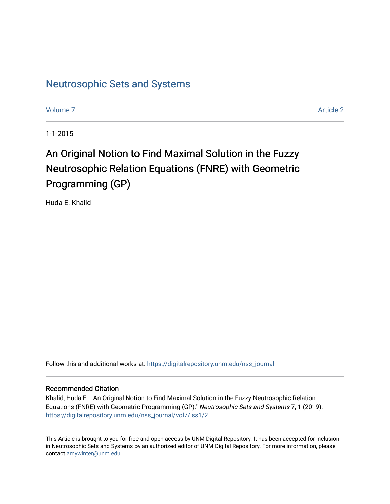# [Neutrosophic Sets and Systems](https://digitalrepository.unm.edu/nss_journal)

[Volume 7](https://digitalrepository.unm.edu/nss_journal/vol7) Article 2

1-1-2015

# An Original Notion to Find Maximal Solution in the Fuzzy Neutrosophic Relation Equations (FNRE) with Geometric Programming (GP)

Huda E. Khalid

Follow this and additional works at: [https://digitalrepository.unm.edu/nss\\_journal](https://digitalrepository.unm.edu/nss_journal?utm_source=digitalrepository.unm.edu%2Fnss_journal%2Fvol7%2Fiss1%2F2&utm_medium=PDF&utm_campaign=PDFCoverPages) 

#### Recommended Citation

Khalid, Huda E.. "An Original Notion to Find Maximal Solution in the Fuzzy Neutrosophic Relation Equations (FNRE) with Geometric Programming (GP)." Neutrosophic Sets and Systems 7, 1 (2019). [https://digitalrepository.unm.edu/nss\\_journal/vol7/iss1/2](https://digitalrepository.unm.edu/nss_journal/vol7/iss1/2?utm_source=digitalrepository.unm.edu%2Fnss_journal%2Fvol7%2Fiss1%2F2&utm_medium=PDF&utm_campaign=PDFCoverPages) 

This Article is brought to you for free and open access by UNM Digital Repository. It has been accepted for inclusion in Neutrosophic Sets and Systems by an authorized editor of UNM Digital Repository. For more information, please contact [amywinter@unm.edu](mailto:amywinter@unm.edu).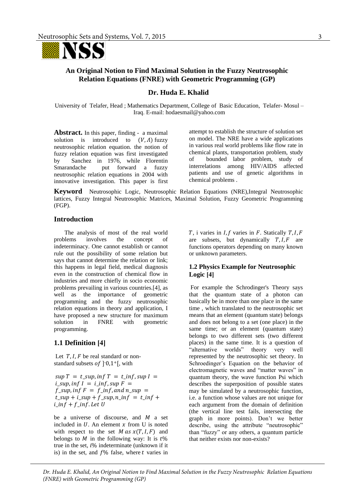

# **An Original Notion to Find Maximal Solution in the Fuzzy Neutrosophic Relation Equations (FNRE) with Geometric Programming (GP)**

#### **Dr. Huda E. Khalid**

University of Telafer, Head ; Mathematics Department, College of Basic Education, Telafer- Mosul – Iraq. E-mail: [hodaesmail@yahoo.c](mailto:hodaesmail@yahoo.com)om

**Abstract.** In this paper, finding - a maximal solution is introduced to  $(V, \Lambda)$  fuzzy neutrosophic relation equation. the notion of fuzzy relation equation was first investigated by Sanchez in 1976, while Florentin Smarandache put forward a fuzzy neutrosophic relation equations in 2004 with innovative investigation. This paper is first

attempt to establish the structure of solution set on model. The NRE have a wide applications in various real world problems like flow rate in chemical plants, transportation problem, study of bounded labor problem, study of interrelations among HIV/AIDS affected patients and use of genetic algorithms in chemical problems .

**Keyword** Neutrosophic Logic, Neutrosophic Relation Equations (NRE),Integral Neutrosophic lattices, Fuzzy Integral Neutrosophic Matrices, Maximal Solution, Fuzzy Geometric Programming (FGP).

# **Introduction**

 The analysis of most of the real world problems involves the concept of indeterminacy. One cannot establish or cannot rule out the possibility of some relation but says that cannot determine the relation or link; this happens in legal field, medical diagnosis even in the construction of chemical flow in industries and more chiefly in socio economic problems prevailing in various countries.[4], as well as the importance of geometric programming and the fuzzy neutrosophic relation equations in theory and application, I have proposed a new structure for maximum solution in FNRE with geometric programming.

#### **1.1 Definition [4]**

Let  $T$ ,  $I$ ,  $F$  be real standard or nonstandard subsets of  $]$ <sup>-0</sup>,1<sup>+</sup>[, with

 $sup T = t$ \_sup,  $inf T = t$ \_inf,  $sup I =$  $i\_sup$ ,  $inf I = i\_inf$ ,  $sup F =$  $f$ \_sup, inf  $F = f$ \_inf, and n\_sup =  $t$ \_sup +  $i$ \_sup +  $f$ \_sup,  $n$ \_in $f = t$ \_in $f$  +  $i_$ inf +  $f_$ inf. Let U

be a universe of discourse, and  $M$  a set included in  $U$ . An element  $x$  from U is noted with respect to the set  $M$  as  $x(T, I, F)$  and belongs to  $M$  in the following way: It is  $t\%$ true in the set,  $i\%$  indeterminate (unknown if it is) in the set, and  $f\%$  false, where t varies in

 $T$ , i varies in  $I$ ,  $f$  varies in  $F$ . Statically  $T$ ,  $I$ ,  $F$ are subsets, but dynamically  $T, I, F$  are functions operators depending on many known or unknown parameters.

#### **1.2 Physics Example for Neutrosophic Logic [4]**

 For example the Schrodinger's Theory says that the quantum state of a photon can basically be in more than one place in the same time , which translated to the neutrosophic set means that an element (quantum state) belongs and does not belong to a set (one place) in the same time; or an element (quantum state) belongs to two different sets (two different places) in the same time. It is a question of "alternative worlds" theory very well represented by the neutrosophic set theory. In Schroedinger's Equation on the behavior of electromagnetic waves and "matter waves" in quantum theory, the wave function Psi which describes the superposition of possible states may be simulated by a neutrosophic function, i.e. a function whose values are not unique for each argument from the domain of definition (the vertical line test fails, intersecting the graph in more points). Don't we better describe, using the attribute "neutrosophic" than "fuzzy" or any others, a quantum particle that neither exists nor non-exists?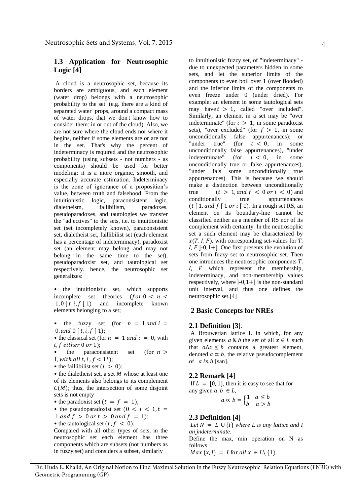# **1.3 Application for Neutrosophic Logic [4]**

A cloud is a neutrosophic set, because its borders are ambiguous, and each element (water drop) belongs with a neutrosophic probability to the set. (e.g. there are a kind of separated water props, around a compact mass of water drops, that we don't know how to consider them: in or out of the cloud). Also, we are not sure where the cloud ends nor where it begins, neither if some elements are or are not in the set. That's why the percent of indeterminacy is required and the neutrosophic probability (using subsets - not numbers - as components) should be used for better modeling: it is a more organic, smooth, and especially accurate estimation. Indeterminacy is the zone of ignorance of a proposition's value, between truth and falsehood. From the intuitionistic logic, paraconsistent logic, dialetheism, fallibilism, paradoxes, pseudoparadoxes, and tautologies we transfer the "adjectives" to the sets, i.e. to intuitionistic set (set incompletely known), paraconsistent set, dialetheist set, faillibilist set (each element has a percentage of indeterminacy), paradoxist set (an element may belong and may not belong in the same time to the set), pseudoparadoxist set, and tautological set respectively. hence, the neutrosophic set generalizes:

• the intuitionistic set, which supports incomplete set theories (for  $0 < n <$  $1, 0 \mid t, i, f \mid 1)$  and incomplete known elements belonging to a set;

the fuzzy set (for  $n = 1$  and  $i =$ 0, and  $0 \mid t, i, f \mid 1$ ;

• the classical set (for  $n = 1$  and  $i = 0$ , with  $t, f$  either 0 or 1);

the paraconsistent set (for  $n >$ 1, with all t, i,  $f < 1^+$ ;

• the faillibilist set  $(i > 0)$ ;

 $\bullet$  the dialetheist set, a set  $M$  whose at least one of its elements also belongs to its complement  $C(M)$ ; thus, the intersection of some disjoint sets is not empty

• the paradoxist set  $(t = f = 1);$ 

• the pseudoparadoxist set 
$$
(0 < i < 1, t =
$$

$$
1 \text{ and } f > 0 \text{ or } t > 0 \text{ and } f = 1;
$$

• the tautological set (*i*,  $f < 0$ ).

Compared with all other types of sets, in the neutrosophic set each element has three components which are subsets (not numbers as in fuzzy set) and considers a subset, similarly

to intuitionistic fuzzy set, of "indeterminacy" due to unexpected parameters hidden in some sets, and let the superior limits of the components to even boil over 1 (over flooded) and the inferior limits of the components to even freeze under 0 (under dried). For example: an element in some tautological sets may have  $t > 1$ , called "over included". Similarly, an element in a set may be "over indeterminate" (for  $i > 1$ , in some paradoxist sets), "over excluded" (for  $f > 1$ , in some unconditionally false appurtenances); or "under true" (for  $t < 0$ , in some unconditionally false appurtenances), "under indeterminate" (for  $i < 0$ , in some unconditionally true or false appurtenances), "under fals some unconditionally true appurtenances). This is because we should make a distinction between unconditionally true  $(t > 1, and f < 0 \text{ or } i < 0)$  and conditionally true appurtenances ( $t \mid 1$ , and  $f \mid 1$  or  $i \mid 1$ ). In a rough set RS, an element on its boundary-line cannot be classified neither as a member of RS nor of its complement with certainty. In the neutrosophic set a such element may be characterized by  $x(T, I, F)$ , with corresponding set-values for T,  $I, F$ ]-0,1+[. One first presents the evolution of sets from fuzzy set to neutrosophic set. Then one introduces the neutrosophic components  $T$ ,  $I, F$  which represent the membership, indeterminacy, and non-membership values respectively, where  $]-0,1+[$  is the non-standard unit interval, and thus one defines the neutrosophic set.[4]

# **2 Basic Concepts for NREs**

#### **2.1 Definition [3]**.

 A Brouwerian lattice L in which, for any given elements  $a \& b$  the set of all  $x \in L$  such that  $a\Lambda x \leq b$  contains a greatest element, denoted  $a \propto b$ , the relative pseudocomplement of  $\alpha$  in  $\beta$  [san].

# **2.2 Remark [4]**

If  $L = [0, 1]$ , then it is easy to see that for any given  $a, b \in L$ ,

$$
a \propto b = \begin{cases} 1 & a \le b \\ b & a > b \end{cases}
$$

# **2.3 Definition [4]**

*Let*  $N = L \cup \{I\}$  where *L* is any lattice and *I an indeterminate.*  Define the max, min operation on N as follows  $Max \{x, I\} = I$  for all  $x \in L \setminus \{1\}$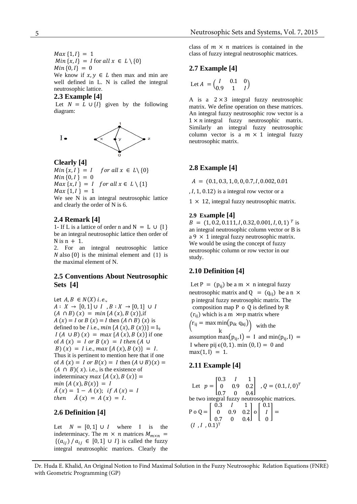$Max\{1, I\} = 1$  $Min\{x, I\} = I$  for all  $x \in L \setminus \{0\}$  $Min\{0, I\} = 0$ We know if  $x, y \in L$  then max and min are well defined in L. N is called the integral neutrosophic lattice.

#### **2.3 Example [4]**

Let  $N = L \cup \{I\}$  given by the following diagram:



**Clearly [4]** 

 $Min\{x, I\} = I$  for all  $x \in L \setminus \{0\}$  $Min\{0, I\} = 0$  $Max\{x, I\} = I$  for all  $x \in L \setminus \{1\}$ 

 $Max\{1, I\} = 1$ 

We see N is an integral neutrosophic lattice and clearly the order of N is 6.

#### **2.4 Remark [4]**

1- If L is a lattice of order n and  $N = L \cup \{1\}$ be an integral neutrosophic lattice then order of  $N$  is  $n + 1$ .

2. For an integral neutrosophic lattice  $N$  also  $\{0\}$  is the minimal element and  $\{1\}$  is the maximal element of N.

# **2.5 Conventions About Neutrosophic Sets [4]**

Let  $A, B \in N(X)$  i.e.,  $A: X \rightarrow [0,1] \cup I$ ,  $B: X \rightarrow [0,1] \cup I$  $(A \cap B)(x) = min{A(x), B(x)},$ if  $A(x) = I$  or  $B(x) = I$  then  $(A \cap B)(x)$  is defined to be *I* i.e.,  $min\{A(x), B(x)\} = I_9$  $I(A \cup B)(x) = max {A(x), B(x)}$  if one of  $A(x) = I$  or  $B(x) = I$  then  $(A \cup$ B)  $(x) = I$  i.e.,  $max\{A(x), B(x)\} = I$ . Thus it is pertinent to mention here that if one of  $A(x) = I$  or  $B(x) = I$  then  $(A \cup B)(x) =$  $(A \cap B)(x)$ . i.e., is the existence of indeterminacy  $max\{A(x), B(x)\}$  =  $min\{A(x), B(x)\} = I$  $\overline{A}(x) = 1 - A(x);$  if  $A(x) = I$ then  $\bar{A}(x) = A(x) = I$ .

# **2.6 Definition [4]**

Let  $N = [0, 1] \cup I$  where I is the indeterminacy. The  $m \times n$  matrices  $M_{m \times n}$  =  $\{(a_{ij}) / a_{ij} \in [0,1] \cup I\}$  is called the fuzzy integral neutrosophic matrices. Clearly the

class of  $m \times n$  matrices is contained in the class of fuzzy integral neutrosophic matrices.

#### **2.7 Example [4]**

$$
\text{Let } A = \begin{pmatrix} I & 0.1 & 0 \\ 0.9 & 1 & I \end{pmatrix}
$$

A is a  $2 \times 3$  integral fuzzy neutrosophic matrix. We define operation on these matrices. An integral fuzzy neutrosophic row vector is a  $1 \times n$  integral fuzzy neutrosophic matrix. Similarly an integral fuzzy neutrosophic column vector is a  $m \times 1$  integral fuzzy neutrosophic matrix.

#### **2.8 Example [4]**

 $A = (0.1, 0.3, 1, 0, 0, 0.7, I, 0.002, 0.01)$ 

 $, I, 1, 0.12$ ) is a integral row vector or a

 $1 \times 12$ , integral fuzzy neutrosophic matrix.

#### **2.9 Example [4]**

 $B = (1, 0.2, 0.111, I, 0.32, 0.001, I, 0, 1)^T$  is an integral neutrosophic column vector or B is  $a 9 \times 1$  integral fuzzy neutrosophic matrix. We would be using the concept of fuzzy neutrosophic column or row vector in our study.

# **2.10 Definition [4]**

Let P =  $(p_{ii})$  be a m  $\times$  n integral fuzzy neutrosophic matrix and  $Q = (q_{ii})$  be a n  $\times$ p integral fuzzy neutrosophic matrix. The composition map P o Q is defined by R  $(r_{ii})$  which is a m  $\times$  p matrix where  $(r_{ij} = \max \min(p_{ik} q_{kj})$ k ) with the assumption max $(p_{ii}, I) = I$  and min $(p_{ii}, I) =$ 

I where pij  $\epsilon(0, 1)$ . min  $(0, I) = 0$  and  $max(1, I) = 1.$ 

#### **2.11 Example [4]**

Let 
$$
p = \begin{bmatrix} 0.3 & I & 1 \\ 0 & 0.9 & 0.2 \\ 0.7 & 0 & 0.4 \end{bmatrix}
$$
,  $Q = (0.1, I, 0)^T$   
be two integral fuzzy neutrosophic matrices.  
 $P \circ Q = \begin{bmatrix} 0.3 & I & 1 \\ 0 & 0.9 & 0.2 \\ 0.7 & 0 & 0.4 \end{bmatrix} \circ \begin{bmatrix} 0.1 \\ I \\ 0 \end{bmatrix} =$   
 $(I, I, 0.1)^T$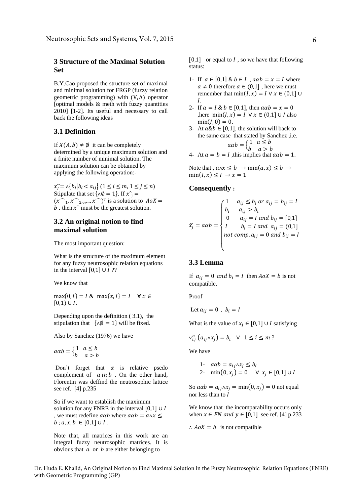# **3 Structure of the Maximal Solution Set**

B.Y.Cao proposed the structure set of maximal and minimal solution for FRGP (fuzzy relation geometric programming) with (V, Λ) operator [optimal models  $\&$  meth with fuzzy quantities 2010] [1-2]. Its useful and necessary to call back the following ideas

# **3.1 Definition**

If  $X(A, b) \neq \emptyset$  it can be completely determined by a unique maximum solution and a finite number of minimal solution. The maximum solution can be obtained by applying the following operation:-

 $(x^1, x^2, x^N)^T$  is a solution to  $A \circ X =$  $x_j^{\frown} = \wedge \{b_i | b_i < a_{ij}\}$  ( $1 \leq i \leq m, 1 \leq j \leq n$ ) Stipulate that set { $\wedge \emptyset = 1$ }. If  $x^{\wedge}$  = b. then  $\hat{x}$  must be the greatest solution.

# **3.2 An original notion to find maximal solution**

The most important question:

What is the structure of the maximum element for any fuzzy neutrosophic relation equations in the interval  $[0,1]$  ∪  $I$  ??

We know that

 $\max\{0, I\} = I \& \max\{x, I\} = I \quad \forall x \in$  $[0,1) \cup I$ .

Depending upon the definition ( 3.1), the stipulation that  $\{\land \emptyset = 1\}$  will be fixed.

Also by Sanchez (1976) we have

 $a\alpha b = \begin{cases} 1 & a \leq b \\ b & a > b \end{cases}$ 

Don't forget that  $\alpha$  is relative psedo complement of  $a$  in  $b$ . On the other hand, Florentin was deffind the neutrosophic lattice see ref. [4] p.235

So if we want to establish the maximum solution for any FNRE in the interval  $[0,1]$  ∪ I , we must redefine  $a\alpha b$  where  $a\alpha b = a \wedge x \leq$  $b$ ;  $a, x, b \in [0,1] \cup I$ .

Note that, all matrices in this work are an integral fuzzy neutrosophic matrices. It is obvious that  $\alpha$  or  $\beta$  are either belonging to

[0,1] or equal to  $I$ , so we have that following status:

- 1- If  $a \in [0,1]$  &  $b \in I$ ,  $a\alpha b = x = I$  where  $a \neq 0$  therefore  $a \in (0,1]$ , here we must remember that  $min(I, x) = I \forall x \in (0,1]$  U I.
- 2- If  $a = I & b \in [0,1]$ , then  $a \alpha b = x = 0$ ,here min $(I, x) = I \ \forall x \in (0,1] \cup I$  also  $min(I, 0) = 0.$
- 3- At  $a\&b \in [0,1]$ , the solution will back to the same case that stated by Sanchez , i.e.  $a\alpha b = \begin{cases} 1 & a \leq b \\ b & a > b \end{cases}$
- 4- At  $a = b = I$ , this implies that  $a\alpha b = 1$ .

Note that ,  $a \wedge x \leq b \rightarrow \min(a, x) \leq b \rightarrow$  $\min(I, x) \leq I \rightarrow x = 1$ 

# **Consequently :**

$$
\hat{x_j} = a\alpha b = \begin{cases}\n1 & a_{ij} \le b_i \text{ or } a_{ij} = b_{ij} = I \\
b_i & a_{ij} > b_i \\
0 & a_{ij} = I \text{ and } b_{ij} = [0,1] \\
I & b_i = I \text{ and } a_{ij} = (0,1] \\
not \text{ comp. } a_{ij} = 0 \text{ and } b_{ij} = I\n\end{cases}
$$

# **3.3 Lemma**

If  $a_{ij} = 0$  and  $b_i = I$  then  $A \circ X = b$  is not compatible.

Proof

Let 
$$
a_{ij} = 0
$$
,  $b_i = I$ 

What is the value of  $x_i \in [0,1] \cup I$  satisfying

$$
\vee_{ij}^{n} (a_{ij} \wedge x_{j}) = b_{i} \quad \forall \quad 1 \leq i \leq m ?
$$

We have

1- 
$$
a\alpha b = a_{ij} \wedge x_j \le b_i
$$
  
2-  $min(0, x_j) = 0 \quad \forall \ x_j \in [0,1] \cup I$ 

So  $a\alpha b = a_{ij}\alpha x_j = \min(0, x_j) = 0$  not equal nor less than to I

We know that the incomparability occurs only when  $x \in FN$  and  $y \in [0,1]$  see ref. [4] p.233

 $\therefore$   $A \circ X = b$  is not compatible